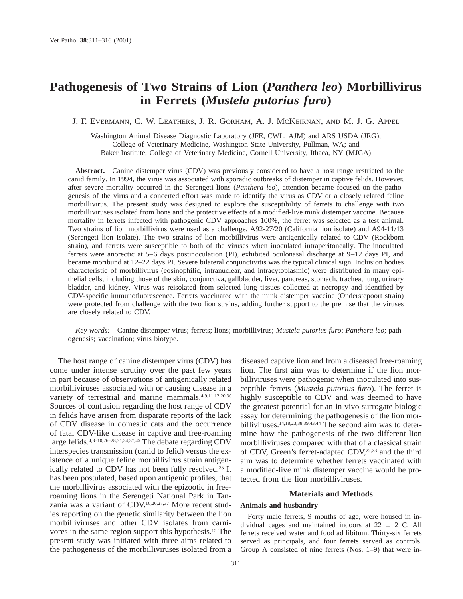# **Pathogenesis of Two Strains of Lion (***Panthera leo***) Morbillivirus in Ferrets (***Mustela putorius furo***)**

J. F. EVERMANN, C. W. LEATHERS, J. R. GORHAM, A. J. MCKEIRNAN, AND M. J. G. APPEL

Washington Animal Disease Diagnostic Laboratory (JFE, CWL, AJM) and ARS USDA (JRG), College of Veterinary Medicine, Washington State University, Pullman, WA; and Baker Institute, College of Veterinary Medicine, Cornell University, Ithaca, NY (MJGA)

**Abstract.** Canine distemper virus (CDV) was previously considered to have a host range restricted to the canid family. In 1994, the virus was associated with sporadic outbreaks of distemper in captive felids. However, after severe mortality occurred in the Serengeti lions (*Panthera leo*), attention became focused on the pathogenesis of the virus and a concerted effort was made to identify the virus as CDV or a closely related feline morbillivirus. The present study was designed to explore the susceptibility of ferrets to challenge with two morbilliviruses isolated from lions and the protective effects of a modified-live mink distemper vaccine. Because mortality in ferrets infected with pathogenic CDV approaches 100%, the ferret was selected as a test animal. Two strains of lion morbillivirus were used as a challenge, A92-27/20 (California lion isolate) and A94-11/13 (Serengeti lion isolate). The two strains of lion morbillivirus were antigenically related to CDV (Rockborn strain), and ferrets were susceptible to both of the viruses when inoculated intraperitoneally. The inoculated ferrets were anorectic at 5–6 days postinoculation (PI), exhibited oculonasal discharge at 9–12 days PI, and became moribund at 12–22 days PI. Severe bilateral conjunctivitis was the typical clinical sign. Inclusion bodies characteristic of morbillivirus (eosinophilic, intranuclear, and intracytoplasmic) were distributed in many epithelial cells, including those of the skin, conjunctiva, gallbladder, liver, pancreas, stomach, trachea, lung, urinary bladder, and kidney. Virus was reisolated from selected lung tissues collected at necropsy and identified by CDV-specific immunofluorescence. Ferrets vaccinated with the mink distemper vaccine (Onderstepoort strain) were protected from challenge with the two lion strains, adding further support to the premise that the viruses are closely related to CDV.

*Key words:* Canine distemper virus; ferrets; lions; morbillivirus; *Mustela putorius furo*; *Panthera leo*; pathogenesis; vaccination; virus biotype.

The host range of canine distemper virus (CDV) has come under intense scrutiny over the past few years in part because of observations of antigenically related morbilliviruses associated with or causing disease in a variety of terrestrial and marine mammals.<sup>4,9,11,12,20,30</sup> Sources of confusion regarding the host range of CDV in felids have arisen from disparate reports of the lack of CDV disease in domestic cats and the occurrence of fatal CDV-like disease in captive and free-roaming large felids.4,8–10,26–28,31,34,37,45 The debate regarding CDV interspecies transmission (canid to felid) versus the existence of a unique feline morbillivirus strain antigenically related to CDV has not been fully resolved.35 It has been postulated, based upon antigenic profiles, that the morbillivirus associated with the epizootic in freeroaming lions in the Serengeti National Park in Tanzania was a variant of CDV.16,26,27,37 More recent studies reporting on the genetic similarity between the lion morbilliviruses and other CDV isolates from carnivores in the same region support this hypothesis.15 The present study was initiated with three aims related to the pathogenesis of the morbilliviruses isolated from a

diseased captive lion and from a diseased free-roaming lion. The first aim was to determine if the lion morbilliviruses were pathogenic when inoculated into susceptible ferrets (*Mustela putorius furo*). The ferret is highly susceptible to CDV and was deemed to have the greatest potential for an in vivo surrogate biologic assay for determining the pathogenesis of the lion morbilliviruses.14,18,23,38,39,43,44 The second aim was to determine how the pathogenesis of the two different lion morbilliviruses compared with that of a classical strain of CDV, Green's ferret-adapted CDV,<sup>22,23</sup> and the third aim was to determine whether ferrets vaccinated with a modified-live mink distemper vaccine would be protected from the lion morbilliviruses.

# **Materials and Methods**

## **Animals and husbandry**

Forty male ferrets, 9 months of age, were housed in individual cages and maintained indoors at  $22 \pm 2$  C. All ferrets received water and food ad libitum. Thirty-six ferrets served as principals, and four ferrets served as controls. Group A consisted of nine ferrets (Nos. 1–9) that were in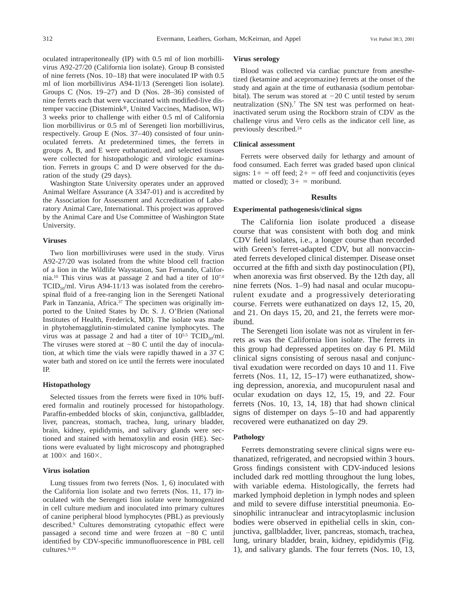oculated intraperitoneally (IP) with 0.5 ml of lion morbillivirus A92-27/20 (California lion isolate). Group B consisted of nine ferrets (Nos. 10–18) that were inoculated IP with 0.5 ml of lion morbillivirus A94-1l/13 (Serengeti lion isolate). Groups C (Nos. 19–27) and D (Nos. 28–36) consisted of nine ferrets each that were vaccinated with modified-live distemper vaccine (Distemink®, United Vaccines, Madison, WI) 3 weeks prior to challenge with either 0.5 ml of California lion morbillivirus or 0.5 ml of Serengeti lion morbillivirus, respectively. Group E (Nos. 37–40) consisted of four uninoculated ferrets. At predetermined times, the ferrets in groups A, B, and E were euthanatized, and selected tissues were collected for histopathologic and virologic examination. Ferrets in groups C and D were observed for the duration of the study (29 days).

Washington State University operates under an approved Animal Welfare Assurance (A 3347-01) and is accredited by the Association for Assessment and Accreditation of Laboratory Animal Care, International. This project was approved by the Animal Care and Use Committee of Washington State University.

#### **Viruses**

Two lion morbilliviruses were used in the study. Virus A92-27/20 was isolated from the white blood cell fraction of a lion in the Wildlife Waystation, San Fernando, California.10 This virus was at passage 2 and had a titer of 107.0 TCID<sub>50</sub>/ml. Virus A94-11/13 was isolated from the cerebrospinal fluid of a free-ranging lion in the Serengeti National Park in Tanzania, Africa.<sup>37</sup> The specimen was originally imported to the United States by Dr. S. J. O'Brien (National Institutes of Health, Frederick, MD). The isolate was made in phytohemagglutinin-stimulated canine lymphocytes. The virus was at passage 2 and had a titer of  $10^{5.5}$  TCID<sub>50</sub>/ml. The viruses were stored at  $-80$  C until the day of inoculation, at which time the vials were rapidly thawed in a 37 C water bath and stored on ice until the ferrets were inoculated IP.

#### **Histopathology**

Selected tissues from the ferrets were fixed in 10% buffered formalin and routinely processed for histopathology. Paraffin-embedded blocks of skin, conjunctiva, gallbladder, liver, pancreas, stomach, trachea, lung, urinary bladder, brain, kidney, epididymis, and salivary glands were sectioned and stained with hematoxylin and eosin (HE). Sections were evaluated by light microscopy and photographed at  $100\times$  and  $160\times$ .

#### **Virus isolation**

Lung tissues from two ferrets (Nos. 1, 6) inoculated with the California lion isolate and two ferrets (Nos. 11, 17) inoculated with the Serengeti lion isolate were homogenized in cell culture medium and inoculated into primary cultures of canine peripheral blood lymphocytes (PBL) as previously described.<sup>6</sup> Cultures demonstrating cytopathic effect were passaged a second time and were frozen at  $-80$  C until identified by CDV-specific immunofluorescence in PBL cell cultures.6,10

#### **Virus serology**

Blood was collected via cardiac puncture from anesthetized (ketamine and acepromazine) ferrets at the onset of the study and again at the time of euthanasia (sodium pentobarbital). The serum was stored at  $-20$  C until tested by serum neutralization (SN).<sup>7</sup> The SN test was performed on heatinactivated serum using the Rockborn strain of CDV as the challenge virus and Vero cells as the indicator cell line, as previously described.24

## **Clinical assessment**

Ferrets were observed daily for lethargy and amount of food consumed. Each ferret was graded based upon clinical signs:  $1+$  = off feed;  $2+$  = off feed and conjunctivitis (eyes matted or closed);  $3+$  = moribund.

## **Results**

### **Experimental pathogenesis/clinical signs**

The California lion isolate produced a disease course that was consistent with both dog and mink CDV field isolates, i.e., a longer course than recorded with Green's ferret-adapted CDV, but all nonvaccinated ferrets developed clinical distemper. Disease onset occurred at the fifth and sixth day postinoculation (PI), when anorexia was first observed. By the 12th day, all nine ferrets (Nos. 1–9) had nasal and ocular mucopurulent exudate and a progressively deteriorating course. Ferrets were euthanatized on days 12, 15, 20, and 21. On days 15, 20, and 21, the ferrets were moribund.

The Serengeti lion isolate was not as virulent in ferrets as was the California lion isolate. The ferrets in this group had depressed appetites on day 6 PI. Mild clinical signs consisting of serous nasal and conjunctival exudation were recorded on days 10 and 11. Five ferrets (Nos. 11, 12, 15–17) were euthanatized, showing depression, anorexia, and mucopurulent nasal and ocular exudation on days 12, 15, 19, and 22. Four ferrets (Nos. 10, 13, 14, 18) that had shown clinical signs of distemper on days 5–10 and had apparently recovered were euthanatized on day 29.

# **Pathology**

Ferrets demonstrating severe clinical signs were euthanatized, refrigerated, and necropsied within 3 hours. Gross findings consistent with CDV-induced lesions included dark red mottling throughout the lung lobes, with variable edema. Histologically, the ferrets had marked lymphoid depletion in lymph nodes and spleen and mild to severe diffuse interstitial pneumonia. Eosinophilic intranuclear and intracytoplasmic inclusion bodies were observed in epithelial cells in skin, conjunctiva, gallbladder, liver, pancreas, stomach, trachea, lung, urinary bladder, brain, kidney, epididymis (Fig. 1), and salivary glands. The four ferrets (Nos. 10, 13,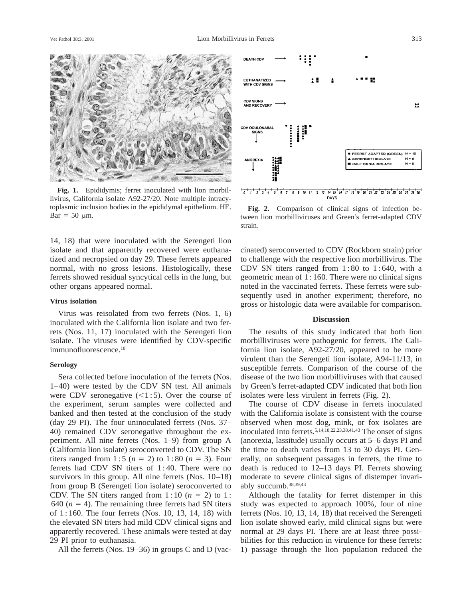

**Fig. 1.** Epididymis; ferret inoculated with lion morbillivirus, California isolate A92-27/20. Note multiple intracytoplasmic inclusion bodies in the epididymal epithelium. HE. toplasmic inclusion bodies in the epididymal epithelium. HE. **Fig. 2.** Comparison of clinical signs of infection be-<br>Bar = 50  $\mu$ m. **Fig. 2.** Comparison of clinical signs of infection be-<br>tween lion morbilliviruses and G

14, 18) that were inoculated with the Serengeti lion isolate and that apparently recovered were euthanatized and necropsied on day 29. These ferrets appeared normal, with no gross lesions. Histologically, these ferrets showed residual syncytical cells in the lung, but other organs appeared normal.

## **Virus isolation**

Virus was reisolated from two ferrets (Nos. 1, 6) inoculated with the California lion isolate and two ferrets (Nos. 11, 17) inoculated with the Serengeti lion isolate. The viruses were identified by CDV-specific immunofluorescence.10

#### **Serology**

Sera collected before inoculation of the ferrets (Nos. 1–40) were tested by the CDV SN test. All animals were CDV seronegative  $(<1:5)$ . Over the course of the experiment, serum samples were collected and banked and then tested at the conclusion of the study (day 29 PI). The four uninoculated ferrets (Nos. 37– 40) remained CDV seronegative throughout the experiment. All nine ferrets (Nos. 1–9) from group A (California lion isolate) seroconverted to CDV. The SN titers ranged from  $1:5$  ( $n = 2$ ) to  $1:80$  ( $n = 3$ ). Four ferrets had CDV SN titers of 1 : 40. There were no survivors in this group. All nine ferrets (Nos. 10–18) from group B (Serengeti lion isolate) seroconverted to CDV. The SN titers ranged from  $1:10$  ( $n = 2$ ) to 1: 640 ( $n = 4$ ). The remaining three ferrets had SN titers of 1 : 160. The four ferrets (Nos. 10, 13, 14, 18) with the elevated SN titers had mild CDV clinical signs and apparertly recovered. These animals were tested at day 29 PI prior to euthanasia.

All the ferrets (Nos. 19–36) in groups C and D (vac-



tween lion morbilliviruses and Green's ferret-adapted CDV strain.

DAYS

cinated) seroconverted to CDV (Rockborn strain) prior to challenge with the respective lion morbillivirus. The CDV SN titers ranged from  $1:80$  to  $1:640$ , with a geometric mean of 1 : 160. There were no clinical signs noted in the vaccinated ferrets. These ferrets were subsequently used in another experiment; therefore, no gross or histologic data were available for comparison.

# **Discussion**

The results of this study indicated that both lion morbilliviruses were pathogenic for ferrets. The California lion isolate, A92-27/20, appeared to be more virulent than the Serengeti lion isolate, A94-11/13, in susceptible ferrets. Comparison of the course of the disease of the two lion morbilliviruses with that caused by Green's ferret-adapted CDV indicated that both lion isolates were less virulent in ferrets (Fig. 2).

The course of CDV disease in ferrets inoculated with the California isolate is consistent with the course observed when most dog, mink, or fox isolates are inoculated into ferrets.5,14,18,22,23,38,41,43 The onset of signs (anorexia, lassitude) usually occurs at 5–6 days PI and the time to death varies from 13 to 30 days PI. Generally, on subsequent passages in ferrets, the time to death is reduced to 12–13 days PI. Ferrets showing moderate to severe clinical signs of distemper invariably succumb.38,39,43

Although the fatality for ferret distemper in this study was expected to approach 100%, four of nine ferrets (Nos. 10, 13, 14, 18) that received the Serengeti lion isolate showed early, mild clinical signs but were normal at 29 days PI. There are at least three possibilities for this reduction in virulence for these ferrets: 1) passage through the lion population reduced the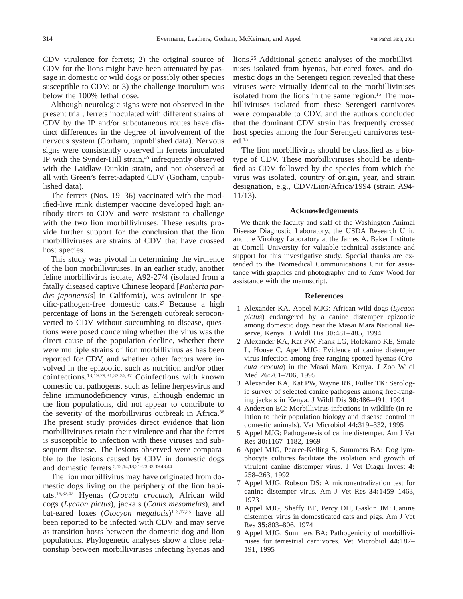CDV virulence for ferrets; 2) the original source of CDV for the lions might have been attenuated by passage in domestic or wild dogs or possibly other species susceptible to CDV; or 3) the challenge inoculum was below the 100% lethal dose.

Although neurologic signs were not observed in the present trial, ferrets inoculated with different strains of CDV by the IP and/or subcutaneous routes have distinct differences in the degree of involvement of the nervous system (Gorham, unpublished data). Nervous signs were consistently observed in ferrets inoculated IP with the Synder-Hill strain,<sup>40</sup> infrequently observed with the Laidlaw-Dunkin strain, and not observed at all with Green's ferret-adapted CDV (Gorham, unpublished data).

The ferrets (Nos. 19–36) vaccinated with the modified-live mink distemper vaccine developed high antibody titers to CDV and were resistant to challenge with the two lion morbilliviruses. These results provide further support for the conclusion that the lion morbilliviruses are strains of CDV that have crossed host species.

This study was pivotal in determining the virulence of the lion morbilliviruses. In an earlier study, another feline morbillivirus isolate, A92-27/4 (isolated from a fatally diseased captive Chinese leopard [*Patheria pardus japonensis*] in California), was avirulent in specific-pathogen-free domestic cats.<sup>27</sup> Because a high percentage of lions in the Serengeti outbreak seroconverted to CDV without succumbing to disease, questions were posed concerning whether the virus was the direct cause of the population decline, whether there were multiple strains of lion morbillivirus as has been reported for CDV, and whether other factors were involved in the epizootic, such as nutrition and/or other coinfections.13,19,29,31,32,36,37 Coinfections with known domestic cat pathogens, such as feline herpesvirus and feline immunodeficiency virus, although endemic in the lion populations, did not appear to contribute to the severity of the morbillivirus outbreak in Africa.<sup>36</sup> The present study provides direct evidence that lion morbilliviruses retain their virulence and that the ferret is susceptible to infection with these viruses and subsequent disease. The lesions observed were comparable to the lesions caused by CDV in domestic dogs and domestic ferrets.5,12,14,18,21–23,33,39,43,44

The lion morbillivirus may have originated from domestic dogs living on the periphery of the lion habitats.16,37,42 Hyenas (*Crocuta crocuta*), African wild dogs (*Lycaon pictus*), jackals (*Canis mesomelas*), and bat-eared foxes (*Otocyon megalotis*)<sup>1-3,17,25</sup> have all been reported to be infected with CDV and may serve as transition hosts between the domestic dog and lion populations. Phylogenetic analyses show a close relationship between morbilliviruses infecting hyenas and

lions.25 Additional genetic analyses of the morbilliviruses isolated from hyenas, bat-eared foxes, and domestic dogs in the Serengeti region revealed that these viruses were virtually identical to the morbilliviruses isolated from the lions in the same region.<sup>15</sup> The morbilliviruses isolated from these Serengeti carnivores were comparable to CDV, and the authors concluded that the dominant CDV strain has frequently crossed host species among the four Serengeti carnivores tested.15

The lion morbillivirus should be classified as a biotype of CDV. These morbilliviruses should be identified as CDV followed by the species from which the virus was isolated, country of origin, year, and strain designation, e.g., CDV/Lion/Africa/1994 (strain A94- 11/13).

## **Acknowledgements**

We thank the faculty and staff of the Washington Animal Disease Diagnostic Laboratory, the USDA Research Unit, and the Virology Laboratory at the James A. Baker Institute at Cornell University for valuable technical assistance and support for this investigative study. Special thanks are extended to the Biomedical Communications Unit for assistance with graphics and photography and to Amy Wood for assistance with the manuscript.

#### **References**

- 1 Alexander KA, Appel MJG: African wild dogs (*Lycaon pictus*) endangered by a canine distemper epizootic among domestic dogs near the Masai Mara National Reserve, Kenya. J Wildl Dis **30:**481–485, 1994
- 2 Alexander KA, Kat PW, Frank LG, Holekamp KE, Smale L, House C, Apel MJG: Evidence of canine distemper virus infection among free-ranging spotted hyenas (*Crocuta crocuta*) in the Masai Mara, Kenya. J Zoo Wildl Med **26:**201–206, 1995
- 3 Alexander KA, Kat PW, Wayne RK, Fuller TK: Serologic survey of selected canine pathogens among free-ranging jackals in Kenya. J Wildl Dis **30:**486–491, 1994
- 4 Anderson EC: Morbillivirus infections in wildlife (in relation to their population biology and disease control in domestic animals). Vet Microbiol **44:**319–332, 1995
- 5 Appel MJG: Pathogenesis of canine distemper. Am J Vet Res **30:**1167–1182, 1969
- 6 Appel MJG, Pearce-Kelling S, Summers BA: Dog lymphocyte cultures facilitate the isolation and growth of virulent canine distemper virus. J Vet Diagn Invest **4:** 258–263, 1992
- 7 Appel MJG, Robson DS: A microneutralization test for canine distemper virus. Am J Vet Res **34:**1459–1463, 1973
- 8 Appel MJG, Sheffy BE, Percy DH, Gaskin JM: Canine distemper virus in domesticated cats and pigs. Am J Vet Res **35:**803–806, 1974
- 9 Appel MJG, Summers BA: Pathogenicity of morbilliviruses for terrestrial carnivores. Vet Microbiol **44:**187– 191, 1995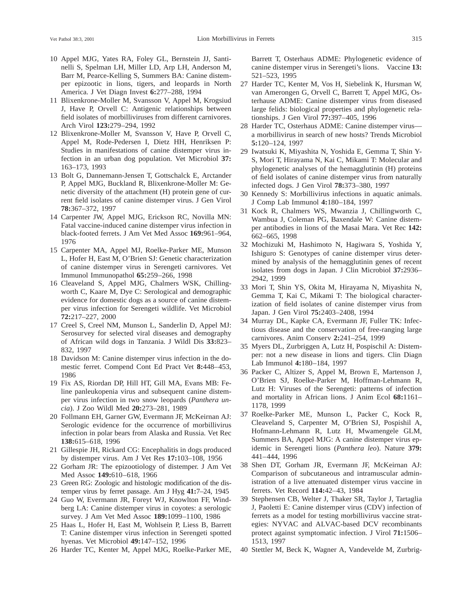- 10 Appel MJG, Yates RA, Foley GL, Bernstein JJ, Santinelli S, Spelman LH, Miller LD, Arp LH, Anderson M, Barr M, Pearce-Kelling S, Summers BA: Canine distemper epizootic in lions, tigers, and leopards in North America. J Vet Diagn Invest **6:**277–288, 1994
- 11 Blixenkrone-Moller M, Svansson V, Appel M, Krogsiud J, Have P, Orvell C: Antigenic relationships between field isolates of morbilliviruses from different carnivores. Arch Virol **123:**279–294, 1992
- 12 Blixenkrone-Moller M, Svansson V, Have P, Orvell C, Appel M, Rode-Pedersen I, Dietz HH, Henriksen P: Studies in manifestations of canine distemper virus infection in an urban dog population. Vet Microbiol **37:** 163–173, 1993
- 13 Bolt G, Dannemann-Jensen T, Gottschalck E, Arctander P, Appel MJG, Buckland R, Blixenkrone-Moller M: Genetic diversity of the attachment (H) protein gene of current field isolates of canine distemper virus. J Gen Virol **78:**367–372, 1997
- 14 Carpenter JW, Appel MJG, Erickson RC, Novilla MN: Fatal vaccine-induced canine distemper virus infection in black-footed ferrets. J Am Vet Med Assoc **169:**961–964, 1976
- 15 Carpenter MA, Appel MJ, Roelke-Parker ME, Munson L, Hofer H, East M, O'Brien SJ: Genetic characterization of canine distemper virus in Serengeti carnivores. Vet Immunol Immunopathol **65:**259–266, 1998
- 16 Cleaveland S, Appel MJG, Chalmers WSK, Chillingworth C, Kaare M, Dye C: Serological and demographic evidence for domestic dogs as a source of canine distemper virus infection for Serengeti wildlife. Vet Microbiol **72:**217–227, 2000
- 17 Creel S, Creel NM, Munson L, Sanderlin D, Appel MJ: Serosurvey for selected viral diseases and demography of African wild dogs in Tanzania. J Wildl Dis **33:**823– 832, 1997
- 18 Davidson M: Canine distemper virus infection in the domestic ferret. Compend Cont Ed Pract Vet **8:**448–453, 1986
- 19 Fix AS, Riordan DP, Hill HT, Gill MA, Evans MB: Feline panleukopenia virus and subsequent canine distemper virus infection in two snow leopards (*Panthera uncia*). J Zoo Wildl Med **20:**273–281, 1989
- 20 Follmann EH, Garner GW, Evermann JF, McKeirnan AJ: Serologic evidence for the occurrence of morbillivirus infection in polar bears from Alaska and Russia. Vet Rec **138:**615–618, 1996
- 21 Gillespie JH, Rickard CG: Encephalitis in dogs produced by distemper virus. Am J Vet Res **17:**103–108, 1956
- 22 Gorham JR: The epizootiology of distemper. J Am Vet Med Assoc **149:**610–618, 1966
- 23 Green RG: Zoologic and histologic modification of the distemper virus by ferret passage. Am J Hyg **41:**7–24, 1945
- 24 Guo W, Evermann JR, Foreyt WJ, Knowlton FF, Windberg LA: Canine distemper virus in coyotes: a serologic survey. J Am Vet Med Assoc **189:**1099–1100, 1986
- 25 Haas L, Hofer H, East M, Wohlsein P, Liess B, Barrett T: Canine distemper virus infection in Serengeti spotted hyenas. Vet Microbiol **49:**147–152, 1996
- 26 Harder TC, Kenter M, Appel MJG, Roelke-Parker ME,

Barrett T, Osterhaus ADME: Phylogenetic evidence of canine distemper virus in Serengeti's lions. Vaccine **13:** 521–523, 1995

- 27 Harder TC, Kenter M, Vos H, Siebelink K, Hursman W, van Amerongen G, Orvell C, Barrett T, Appel MJG, Osterhause ADME: Canine distemper virus from diseased large felids: biological properties and phylogenetic relationships. J Gen Virol **77:**397–405, 1996
- 28 Harder TC, Osterhaus ADME: Canine distemper virus a morbillivirus in search of new hosts? Trends Microbiol **5:**120–124, 1997
- 29 Iwatsuki K, Miyashita N, Yoshida E, Gemma T, Shin Y-S, Mori T, Hirayama N, Kai C, Mikami T: Molecular and phylogenetic analyses of the hemagglutinin (H) proteins of field isolates of canine distemper virus from naturally infected dogs. J Gen Virol **78:**373–380, 1997
- 30 Kennedy S: Morbillivirus infections in aquatic animals. J Comp Lab Immunol **4:**180–184, 1997
- 31 Kock R, Chalmers WS, Mwanzia J, Chillingworth C, Wambua J, Coleman PG, Baxendale W: Canine distemper antibodies in lions of the Masai Mara. Vet Rec **142:** 662–665, 1998
- 32 Mochizuki M, Hashimoto N, Hagiwara S, Yoshida Y, Ishiguro S: Genotypes of canine distemper virus determined by analysis of the hemagglutinin genes of recent isolates from dogs in Japan. J Clin Microbiol **37:**2936– 2942, 1999
- 33 Mori T, Shin YS, Okita M, Hirayama N, Miyashita N, Gemma T, Kai C, Mikami T: The biological characterization of field isolates of canine distemper virus from Japan. J Gen Virol **75:**2403–2408, 1994
- 34 Murray DL, Kapke CA, Evermann JF, Fuller TK: Infectious disease and the conservation of free-ranging large carnivores. Anim Conserv **2:**241–254, 1999
- 35 Myers DL, Zurbriggen A, Lutz H, Pospischil A: Distemper: not a new disease in lions and tigers. Clin Diagn Lab Immunol **4:**180–184, 1997
- 36 Packer C, Altizer S, Appel M, Brown E, Martenson J, O'Brien SJ, Roelke-Parker M, Hoffman-Lehmann R, Lutz H: Viruses of the Serengeti: patterns of infection and mortality in African lions. J Anim Ecol **68:**1161– 1178, 1999
- 37 Roelke-Parker ME, Munson L, Packer C, Kock R, Cleaveland S, Carpenter M, O'Brien SJ, Pospishil A, Hofmann-Lehmann R, Lutz H, Mwamengele GLM, Summers BA, Appel MJG: A canine distemper virus epidemic in Serengeti lions (*Panthera leo*). Nature **379:** 441–444, 1996
- 38 Shen DT, Gorham JR, Evermann JF, McKeirnan AJ: Comparison of subcutaneous and intramuscular administration of a live attenuated distemper virus vaccine in ferrets. Vet Record **114:**42–43, 1984
- 39 Stephensen CB, Welter J, Thaker SR, Taylor J, Tartaglia J, Paoletti E: Canine distemper virus (CDV) infection of ferrets as a model for testing morbillivirus vaccine strategies: NYVAC and ALVAC-based DCV recombinants protect against symptomatic infection. J Virol **71:**1506– 1513, 1997
- 40 Stettler M, Beck K, Wagner A, Vandevelde M, Zurbrig-